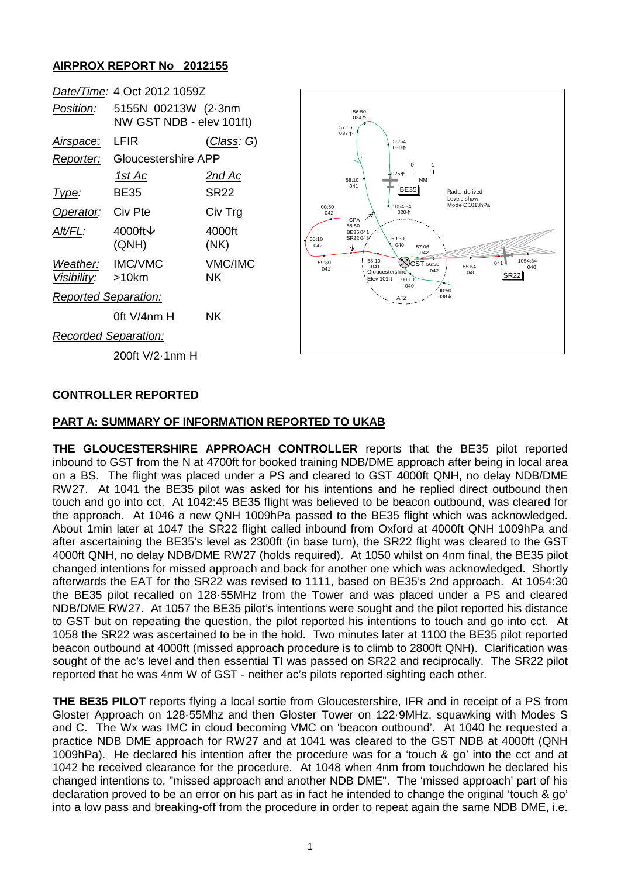## **AIRPROX REPORT No 2012155**

| Date/Time: 4 Oct 2012 1059Z           |                                                 |                    |
|---------------------------------------|-------------------------------------------------|--------------------|
| <i>Position:</i>                      | 5155N 00213W (2-3nm<br>NW GST NDB - elev 101ft) |                    |
| <u>Airspace:</u>                      | LFIR                                            | <u>(Class</u> : G) |
| Reporter:                             | Gloucestershire APP                             |                    |
|                                       | <u> 1st Ac</u>                                  | <u>2nd Ac</u>      |
| Type:                                 | BE35                                            | SR22               |
| Operator: Civ Pte                     |                                                 | Civ Trg            |
| Alt/FL:                               | 4000ft $\vee$<br>(QNH)                          | 4000ft<br>(NK)     |
| Weather: IMC/VMC<br>Visibility: >10km |                                                 | VMC/IMC<br>ΝK      |
| <b>Reported Separation:</b>           |                                                 |                    |
|                                       | 0ft $V/4$ nm H                                  | ΝK                 |
| <b>Recorded Separation:</b>           |                                                 |                    |
|                                       | 200ft V/2-1nm H                                 |                    |



### **CONTROLLER REPORTED**

#### **PART A: SUMMARY OF INFORMATION REPORTED TO UKAB**

**THE GLOUCESTERSHIRE APPROACH CONTROLLER** reports that the BE35 pilot reported inbound to GST from the N at 4700ft for booked training NDB/DME approach after being in local area on a BS. The flight was placed under a PS and cleared to GST 4000ft QNH, no delay NDB/DME RW27. At 1041 the BE35 pilot was asked for his intentions and he replied direct outbound then touch and go into cct. At 1042:45 BE35 flight was believed to be beacon outbound, was cleared for the approach. At 1046 a new QNH 1009hPa passed to the BE35 flight which was acknowledged. About 1min later at 1047 the SR22 flight called inbound from Oxford at 4000ft QNH 1009hPa and after ascertaining the BE35's level as 2300ft (in base turn), the SR22 flight was cleared to the GST 4000ft QNH, no delay NDB/DME RW27 (holds required). At 1050 whilst on 4nm final, the BE35 pilot changed intentions for missed approach and back for another one which was acknowledged. Shortly afterwards the EAT for the SR22 was revised to 1111, based on BE35's 2nd approach. At 1054:30 the BE35 pilot recalled on 128·55MHz from the Tower and was placed under a PS and cleared NDB/DME RW27. At 1057 the BE35 pilot's intentions were sought and the pilot reported his distance to GST but on repeating the question, the pilot reported his intentions to touch and go into cct. At 1058 the SR22 was ascertained to be in the hold. Two minutes later at 1100 the BE35 pilot reported beacon outbound at 4000ft (missed approach procedure is to climb to 2800ft QNH). Clarification was sought of the ac's level and then essential TI was passed on SR22 and reciprocally. The SR22 pilot reported that he was 4nm W of GST - neither ac's pilots reported sighting each other.

**THE BE35 PILOT** reports flying a local sortie from Gloucestershire, IFR and in receipt of a PS from Gloster Approach on 128·55Mhz and then Gloster Tower on 122·9MHz, squawking with Modes S and C. The Wx was IMC in cloud becoming VMC on 'beacon outbound'. At 1040 he requested a practice NDB DME approach for RW27 and at 1041 was cleared to the GST NDB at 4000ft (QNH 1009hPa). He declared his intention after the procedure was for a 'touch & go' into the cct and at 1042 he received clearance for the procedure. At 1048 when 4nm from touchdown he declared his changed intentions to, "missed approach and another NDB DME". The 'missed approach' part of his declaration proved to be an error on his part as in fact he intended to change the original 'touch & go' into a low pass and breaking-off from the procedure in order to repeat again the same NDB DME, i.e.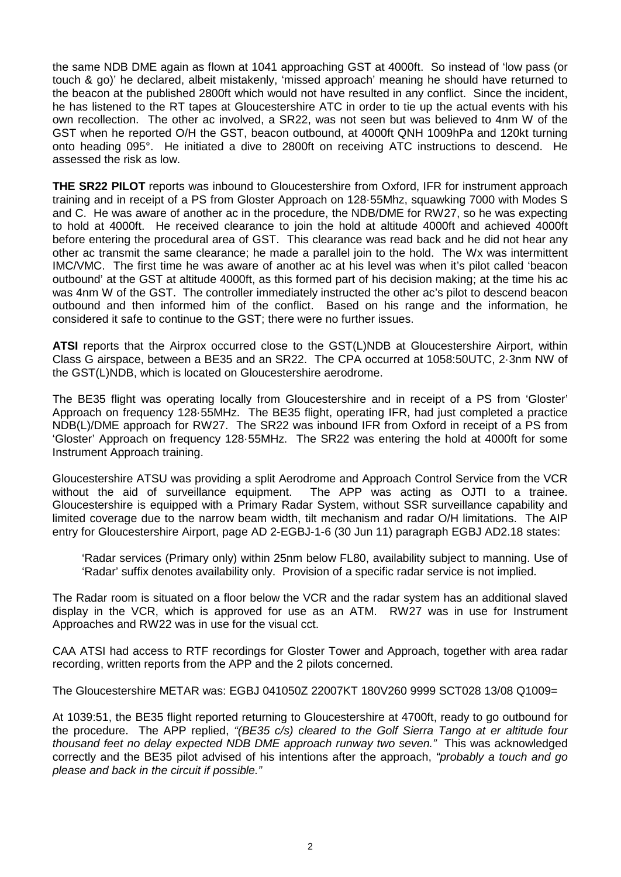the same NDB DME again as flown at 1041 approaching GST at 4000ft. So instead of 'low pass (or touch & go)' he declared, albeit mistakenly, 'missed approach' meaning he should have returned to the beacon at the published 2800ft which would not have resulted in any conflict. Since the incident, he has listened to the RT tapes at Gloucestershire ATC in order to tie up the actual events with his own recollection. The other ac involved, a SR22, was not seen but was believed to 4nm W of the GST when he reported O/H the GST, beacon outbound, at 4000ft QNH 1009hPa and 120kt turning onto heading 095°. He initiated a dive to 2800ft on receiving ATC instructions to descend. He assessed the risk as low.

**THE SR22 PILOT** reports was inbound to Gloucestershire from Oxford, IFR for instrument approach training and in receipt of a PS from Gloster Approach on 128·55Mhz, squawking 7000 with Modes S and C. He was aware of another ac in the procedure, the NDB/DME for RW27, so he was expecting to hold at 4000ft. He received clearance to join the hold at altitude 4000ft and achieved 4000ft before entering the procedural area of GST. This clearance was read back and he did not hear any other ac transmit the same clearance; he made a parallel join to the hold. The Wx was intermittent IMC/VMC. The first time he was aware of another ac at his level was when it's pilot called 'beacon outbound' at the GST at altitude 4000ft, as this formed part of his decision making; at the time his ac was 4nm W of the GST. The controller immediately instructed the other ac's pilot to descend beacon outbound and then informed him of the conflict. Based on his range and the information, he considered it safe to continue to the GST; there were no further issues.

**ATSI** reports that the Airprox occurred close to the GST(L)NDB at Gloucestershire Airport, within Class G airspace, between a BE35 and an SR22. The CPA occurred at 1058:50UTC, 2·3nm NW of the GST(L)NDB, which is located on Gloucestershire aerodrome.

The BE35 flight was operating locally from Gloucestershire and in receipt of a PS from 'Gloster' Approach on frequency 128·55MHz. The BE35 flight, operating IFR, had just completed a practice NDB(L)/DME approach for RW27. The SR22 was inbound IFR from Oxford in receipt of a PS from 'Gloster' Approach on frequency 128·55MHz. The SR22 was entering the hold at 4000ft for some Instrument Approach training.

Gloucestershire ATSU was providing a split Aerodrome and Approach Control Service from the VCR without the aid of surveillance equipment. The APP was acting as OJTI to a trainee. Gloucestershire is equipped with a Primary Radar System, without SSR surveillance capability and limited coverage due to the narrow beam width, tilt mechanism and radar O/H limitations. The AIP entry for Gloucestershire Airport, page AD 2-EGBJ-1-6 (30 Jun 11) paragraph EGBJ AD2.18 states:

'Radar services (Primary only) within 25nm below FL80, availability subject to manning. Use of 'Radar' suffix denotes availability only. Provision of a specific radar service is not implied.

The Radar room is situated on a floor below the VCR and the radar system has an additional slaved display in the VCR, which is approved for use as an ATM. RW27 was in use for Instrument Approaches and RW22 was in use for the visual cct.

CAA ATSI had access to RTF recordings for Gloster Tower and Approach, together with area radar recording, written reports from the APP and the 2 pilots concerned.

The Gloucestershire METAR was: EGBJ 041050Z 22007KT 180V260 9999 SCT028 13/08 Q1009=

At 1039:51, the BE35 flight reported returning to Gloucestershire at 4700ft, ready to go outbound for the procedure. The APP replied, *"(BE35 c/s) cleared to the Golf Sierra Tango at er altitude four thousand feet no delay expected NDB DME approach runway two seven."* This was acknowledged correctly and the BE35 pilot advised of his intentions after the approach, *"probably a touch and go please and back in the circuit if possible."*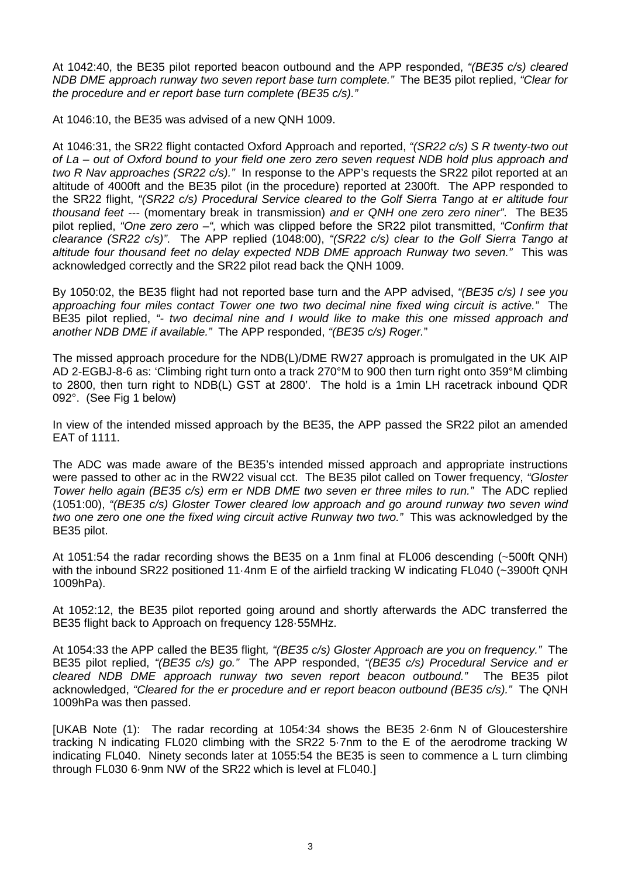At 1042:40, the BE35 pilot reported beacon outbound and the APP responded, *"(BE35 c/s) cleared NDB DME approach runway two seven report base turn complete."* The BE35 pilot replied, *"Clear for the procedure and er report base turn complete (BE35 c/s)."*

At 1046:10, the BE35 was advised of a new QNH 1009.

At 1046:31, the SR22 flight contacted Oxford Approach and reported, *"(SR22 c/s) S R twenty-two out of La – out of Oxford bound to your field one zero zero seven request NDB hold plus approach and two R Nav approaches (SR22 c/s)."* In response to the APP's requests the SR22 pilot reported at an altitude of 4000ft and the BE35 pilot (in the procedure) reported at 2300ft. The APP responded to the SR22 flight, *"(SR22 c/s) Procedural Service cleared to the Golf Sierra Tango at er altitude four thousand feet ---* (momentary break in transmission) *and er QNH one zero zero niner"*. The BE35 pilot replied, *"One zero zero –",* which was clipped before the SR22 pilot transmitted, *"Confirm that clearance (SR22 c/s)"*. The APP replied (1048:00), *"(SR22 c/s) clear to the Golf Sierra Tango at altitude four thousand feet no delay expected NDB DME approach Runway two seven."* This was acknowledged correctly and the SR22 pilot read back the QNH 1009.

By 1050:02, the BE35 flight had not reported base turn and the APP advised, *"(BE35 c/s) I see you approaching four miles contact Tower one two two decimal nine fixed wing circuit is active."* The BE35 pilot replied, *"- two decimal nine and I would like to make this one missed approach and another NDB DME if available."* The APP responded, *"(BE35 c/s) Roger.*"

The missed approach procedure for the NDB(L)/DME RW27 approach is promulgated in the UK AIP AD 2-EGBJ-8-6 as: 'Climbing right turn onto a track 270°M to 900 then turn right onto 359°M climbing to 2800, then turn right to NDB(L) GST at 2800'. The hold is a 1min LH racetrack inbound QDR 092°. (See Fig 1 below)

In view of the intended missed approach by the BE35, the APP passed the SR22 pilot an amended EAT of 1111.

The ADC was made aware of the BE35's intended missed approach and appropriate instructions were passed to other ac in the RW22 visual cct. The BE35 pilot called on Tower frequency, *"Gloster Tower hello again (BE35 c/s) erm er NDB DME two seven er three miles to run."* The ADC replied (1051:00), *"(BE35 c/s) Gloster Tower cleared low approach and go around runway two seven wind two one zero one one the fixed wing circuit active Runway two two."* This was acknowledged by the BE35 pilot.

At 1051:54 the radar recording shows the BE35 on a 1nm final at FL006 descending (~500ft QNH) with the inbound SR22 positioned 11.4nm E of the airfield tracking W indicating FL040 (~3900ft QNH 1009hPa).

At 1052:12, the BE35 pilot reported going around and shortly afterwards the ADC transferred the BE35 flight back to Approach on frequency 128·55MHz.

At 1054:33 the APP called the BE35 flight*, "(BE35 c/s) Gloster Approach are you on frequency."* The BE35 pilot replied, *"(BE35 c/s) go."* The APP responded, *"(BE35 c/s) Procedural Service and er cleared NDB DME approach runway two seven report beacon outbound."* The BE35 pilot acknowledged, *"Cleared for the er procedure and er report beacon outbound (BE35 c/s)."* The QNH 1009hPa was then passed.

[UKAB Note (1): The radar recording at 1054:34 shows the BE35 2·6nm N of Gloucestershire tracking N indicating FL020 climbing with the SR22 5·7nm to the E of the aerodrome tracking W indicating FL040. Ninety seconds later at 1055:54 the BE35 is seen to commence a L turn climbing through FL030 6·9nm NW of the SR22 which is level at FL040.]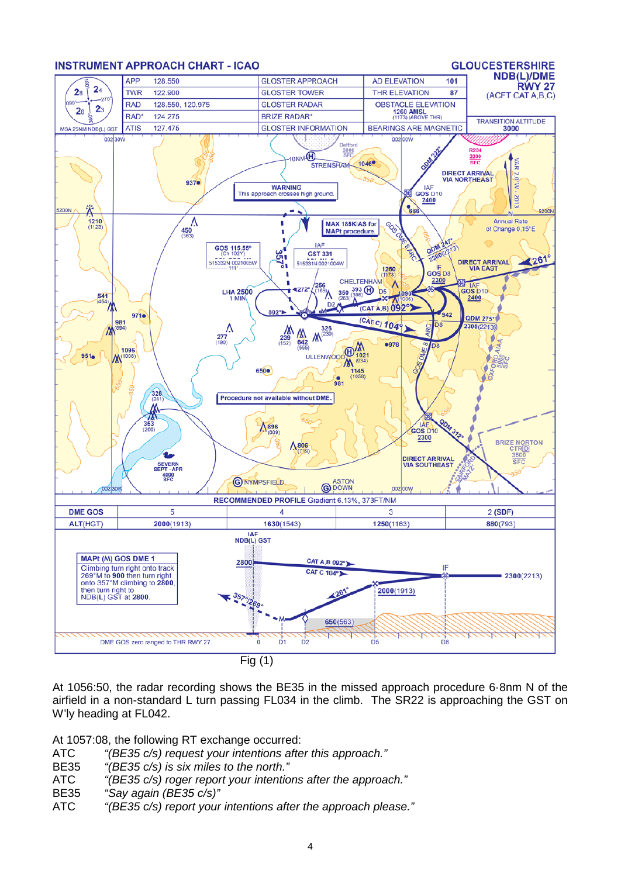

At 1056:50, the radar recording shows the BE35 in the missed approach procedure 6·8nm N of the airfield in a non-standard L turn passing FL034 in the climb. The SR22 is approaching the GST on W'ly heading at FL042.

At 1057:08, the following RT exchange occurred:

- ATC *"(BE35 c/s) request your intentions after this approach."*
- BE35 *"(BE35 c/s) is six miles to the north."*
- ATC *"(BE35 c/s) roger report your intentions after the approach."*
- BE35 *"Say again (BE35 c/s)"*
- ATC *"(BE35 c/s) report your intentions after the approach please."*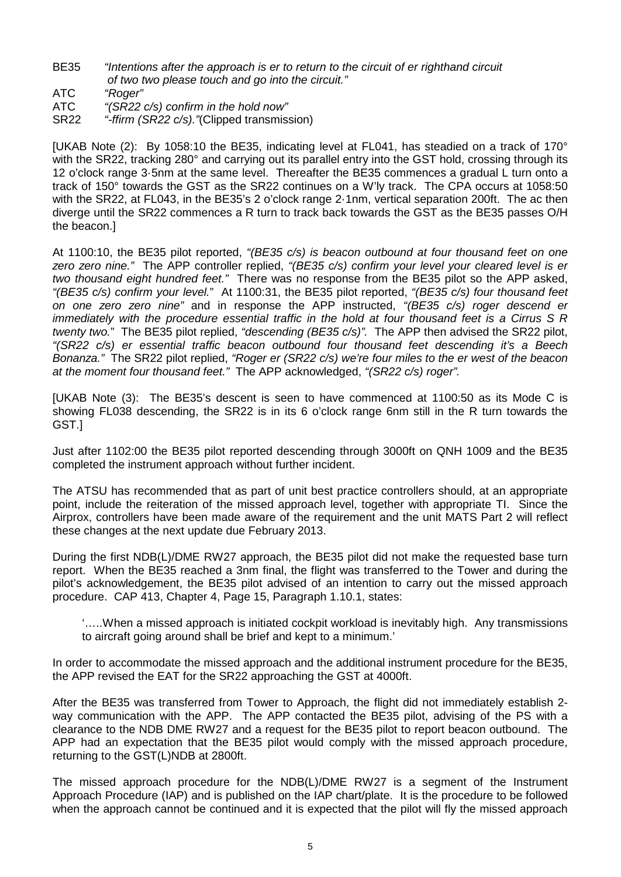- BE35 *"Intentions after the approach is er to return to the circuit of er righthand circuit of two two please touch and go into the circuit."*
- ATC *"Roger"*
- ATC *"(SR22 c/s) confirm in the hold now"*
- SR22 *"-ffirm (SR22 c/s)."*(Clipped transmission)

[UKAB Note (2): By 1058:10 the BE35, indicating level at FL041, has steadied on a track of 170° with the SR22, tracking 280° and carrying out its parallel entry into the GST hold, crossing through its 12 o'clock range 3·5nm at the same level. Thereafter the BE35 commences a gradual L turn onto a track of 150° towards the GST as the SR22 continues on a W'ly track. The CPA occurs at 1058:50 with the SR22, at FL043, in the BE35's 2 o'clock range 2·1nm, vertical separation 200ft. The ac then diverge until the SR22 commences a R turn to track back towards the GST as the BE35 passes O/H the beacon.]

At 1100:10, the BE35 pilot reported, *"(BE35 c/s) is beacon outbound at four thousand feet on one zero zero nine."* The APP controller replied, *"(BE35 c/s) confirm your level your cleared level is er two thousand eight hundred feet."* There was no response from the BE35 pilot so the APP asked, *"(BE35 c/s) confirm your level.*" At 1100:31, the BE35 pilot reported, *"(BE35 c/s) four thousand feet on one zero zero nine"* and in response the APP instructed, *"(BE35 c/s) roger descend er immediately with the procedure essential traffic in the hold at four thousand feet is a Cirrus S R twenty two.*" The BE35 pilot replied, *"descending (BE35 c/s)".* The APP then advised the SR22 pilot, *"(SR22 c/s) er essential traffic beacon outbound four thousand feet descending it's a Beech Bonanza."* The SR22 pilot replied, *"Roger er (SR22 c/s) we're four miles to the er west of the beacon at the moment four thousand feet."* The APP acknowledged, *"(SR22 c/s) roger".*

[UKAB Note (3): The BE35's descent is seen to have commenced at 1100:50 as its Mode C is showing FL038 descending, the SR22 is in its 6 o'clock range 6nm still in the R turn towards the GST.]

Just after 1102:00 the BE35 pilot reported descending through 3000ft on QNH 1009 and the BE35 completed the instrument approach without further incident.

The ATSU has recommended that as part of unit best practice controllers should, at an appropriate point, include the reiteration of the missed approach level, together with appropriate TI. Since the Airprox, controllers have been made aware of the requirement and the unit MATS Part 2 will reflect these changes at the next update due February 2013.

During the first NDB(L)/DME RW27 approach, the BE35 pilot did not make the requested base turn report. When the BE35 reached a 3nm final, the flight was transferred to the Tower and during the pilot's acknowledgement, the BE35 pilot advised of an intention to carry out the missed approach procedure. CAP 413, Chapter 4, Page 15, Paragraph 1.10.1, states:

'…..When a missed approach is initiated cockpit workload is inevitably high. Any transmissions to aircraft going around shall be brief and kept to a minimum.'

In order to accommodate the missed approach and the additional instrument procedure for the BE35, the APP revised the EAT for the SR22 approaching the GST at 4000ft.

After the BE35 was transferred from Tower to Approach, the flight did not immediately establish 2 way communication with the APP. The APP contacted the BE35 pilot, advising of the PS with a clearance to the NDB DME RW27 and a request for the BE35 pilot to report beacon outbound. The APP had an expectation that the BE35 pilot would comply with the missed approach procedure, returning to the GST(L)NDB at 2800ft.

The missed approach procedure for the NDB(L)/DME RW27 is a segment of the Instrument Approach Procedure (IAP) and is published on the IAP chart/plate. It is the procedure to be followed when the approach cannot be continued and it is expected that the pilot will fly the missed approach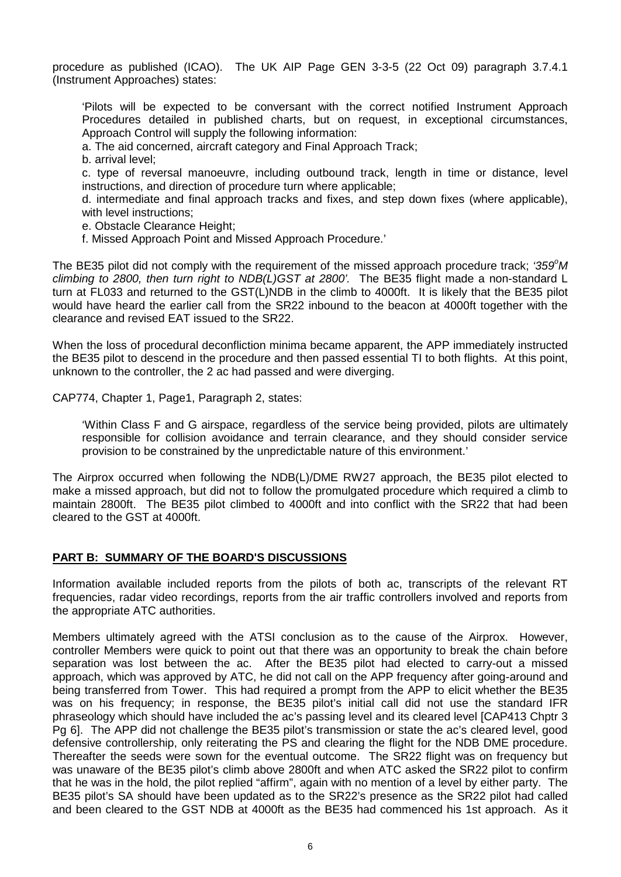procedure as published (ICAO). The UK AIP Page GEN 3-3-5 (22 Oct 09) paragraph 3.7.4.1 (Instrument Approaches) states:

'Pilots will be expected to be conversant with the correct notified Instrument Approach Procedures detailed in published charts, but on request, in exceptional circumstances, Approach Control will supply the following information:

a. The aid concerned, aircraft category and Final Approach Track;

b. arrival level;

c. type of reversal manoeuvre, including outbound track, length in time or distance, level instructions, and direction of procedure turn where applicable;

d. intermediate and final approach tracks and fixes, and step down fixes (where applicable), with level instructions;

e. Obstacle Clearance Height;

f. Missed Approach Point and Missed Approach Procedure.'

The BE35 pilot did not comply with the requirement of the missed approach procedure track; '359°M *climbing to 2800, then turn right to NDB(L)GST at 2800'.* The BE35 flight made a non-standard L turn at FL033 and returned to the GST(L)NDB in the climb to 4000ft. It is likely that the BE35 pilot would have heard the earlier call from the SR22 inbound to the beacon at 4000ft together with the clearance and revised EAT issued to the SR22.

When the loss of procedural deconfliction minima became apparent, the APP immediately instructed the BE35 pilot to descend in the procedure and then passed essential TI to both flights. At this point, unknown to the controller, the 2 ac had passed and were diverging.

CAP774, Chapter 1, Page1, Paragraph 2, states:

'Within Class F and G airspace, regardless of the service being provided, pilots are ultimately responsible for collision avoidance and terrain clearance, and they should consider service provision to be constrained by the unpredictable nature of this environment.'

The Airprox occurred when following the NDB(L)/DME RW27 approach, the BE35 pilot elected to make a missed approach, but did not to follow the promulgated procedure which required a climb to maintain 2800ft. The BE35 pilot climbed to 4000ft and into conflict with the SR22 that had been cleared to the GST at 4000ft.

#### **PART B: SUMMARY OF THE BOARD'S DISCUSSIONS**

Information available included reports from the pilots of both ac, transcripts of the relevant RT frequencies, radar video recordings, reports from the air traffic controllers involved and reports from the appropriate ATC authorities.

Members ultimately agreed with the ATSI conclusion as to the cause of the Airprox. However, controller Members were quick to point out that there was an opportunity to break the chain before separation was lost between the ac. After the BE35 pilot had elected to carry-out a missed approach, which was approved by ATC, he did not call on the APP frequency after going-around and being transferred from Tower. This had required a prompt from the APP to elicit whether the BE35 was on his frequency; in response, the BE35 pilot's initial call did not use the standard IFR phraseology which should have included the ac's passing level and its cleared level [CAP413 Chptr 3 Pg 6]. The APP did not challenge the BE35 pilot's transmission or state the ac's cleared level, good defensive controllership, only reiterating the PS and clearing the flight for the NDB DME procedure. Thereafter the seeds were sown for the eventual outcome. The SR22 flight was on frequency but was unaware of the BE35 pilot's climb above 2800ft and when ATC asked the SR22 pilot to confirm that he was in the hold, the pilot replied "affirm", again with no mention of a level by either party. The BE35 pilot's SA should have been updated as to the SR22's presence as the SR22 pilot had called and been cleared to the GST NDB at 4000ft as the BE35 had commenced his 1st approach. As it